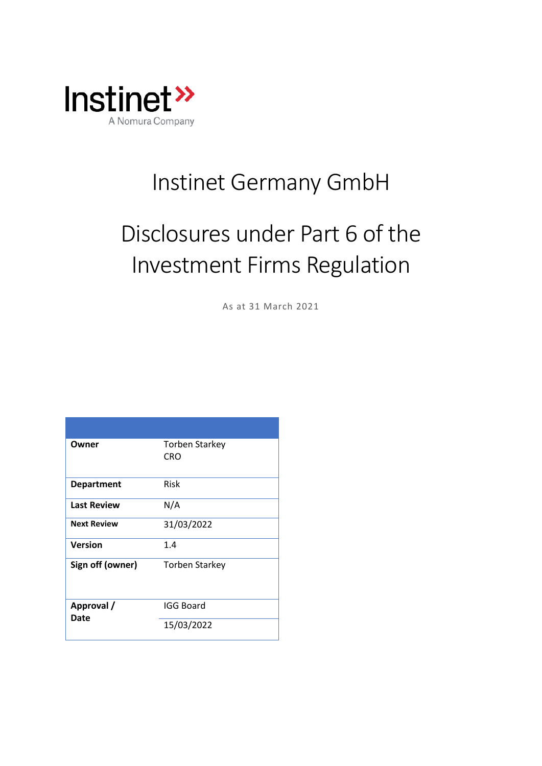

## Instinet Germany GmbH

# Disclosures under Part 6 of the Investment Firms Regulation

As at 31 March 2021

| Owner              | Torben Starkey<br>CRO |
|--------------------|-----------------------|
| <b>Department</b>  | Risk                  |
| <b>Last Review</b> | N/A                   |
| <b>Next Review</b> | 31/03/2022            |
| <b>Version</b>     | 1.4                   |
| Sign off (owner)   | <b>Torben Starkey</b> |
| Approval /<br>Date | <b>IGG Board</b>      |
|                    | 15/03/2022            |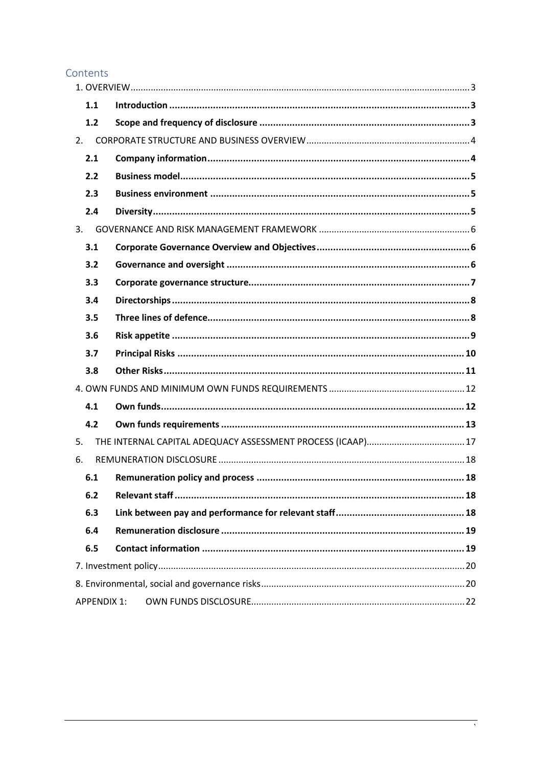## Contents

| 1.1                |  |
|--------------------|--|
| 1.2                |  |
| 2.                 |  |
| 2.1                |  |
| 2.2                |  |
| 2.3                |  |
| 2.4                |  |
| 3.                 |  |
| 3.1                |  |
| 3.2                |  |
| 3.3                |  |
| 3.4                |  |
| 3.5                |  |
| 3.6                |  |
| 3.7                |  |
| 3.8                |  |
|                    |  |
| 4.1                |  |
| 4.2                |  |
| 5.                 |  |
| 6.                 |  |
| 6.1                |  |
| 6.2                |  |
| 6.3                |  |
| 6.4                |  |
| 6.5                |  |
|                    |  |
|                    |  |
| <b>APPENDIX 1:</b> |  |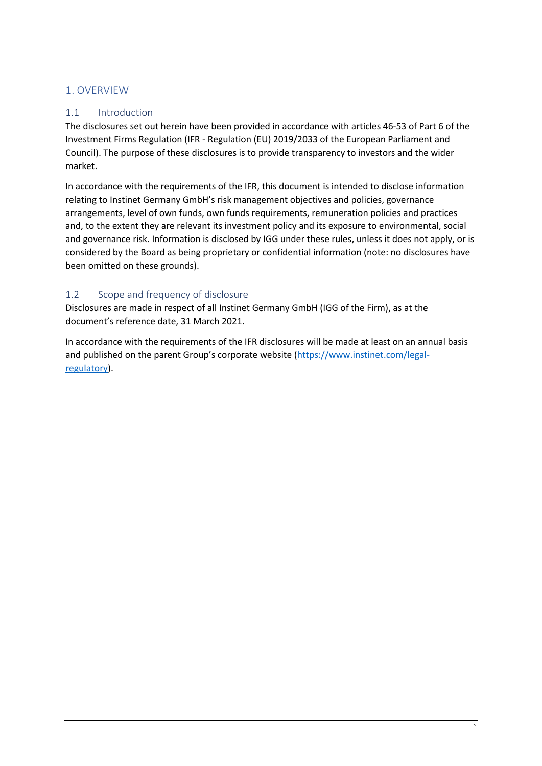## <span id="page-2-0"></span>1. OVERVIEW

## <span id="page-2-1"></span>1.1 Introduction

The disclosures set out herein have been provided in accordance with articles 46-53 of Part 6 of the Investment Firms Regulation (IFR - Regulation (EU) 2019/2033 of the European Parliament and Council). The purpose of these disclosures is to provide transparency to investors and the wider market.

In accordance with the requirements of the IFR, this document is intended to disclose information relating to Instinet Germany GmbH's risk management objectives and policies, governance arrangements, level of own funds, own funds requirements, remuneration policies and practices and, to the extent they are relevant its investment policy and its exposure to environmental, social and governance risk. Information is disclosed by IGG under these rules, unless it does not apply, or is considered by the Board as being proprietary or confidential information (note: no disclosures have been omitted on these grounds).

## <span id="page-2-2"></span>1.2 Scope and frequency of disclosure

Disclosures are made in respect of all Instinet Germany GmbH (IGG of the Firm), as at the document's reference date, 31 March 2021.

In accordance with the requirements of the IFR disclosures will be made at least on an annual basis and published on the parent Group's corporate website [\(https://www.instinet.com/legal](https://www.instinet.com/legal-regulatory)[regulatory\)](https://www.instinet.com/legal-regulatory).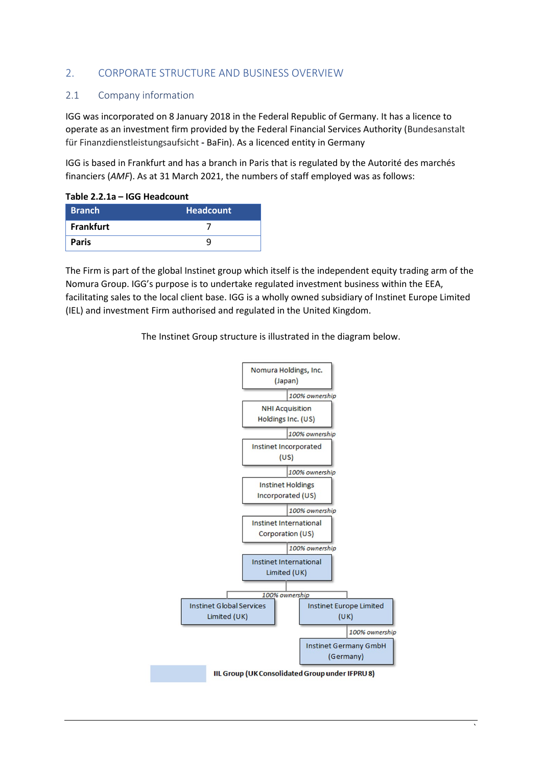#### <span id="page-3-0"></span>2. CORPORATE STRUCTURE AND BUSINESS OVERVIEW

#### <span id="page-3-1"></span>2.1 Company information

IGG was incorporated on 8 January 2018 in the Federal Republic of Germany. It has a licence to operate as an investment firm provided by the Federal Financial Services Authority (Bundesanstalt für Finanzdienstleistungsaufsicht **-** BaFin). As a licenced entity in Germany

IGG is based in Frankfurt and has a branch in Paris that is regulated by the Autorité des marchés financiers (*AMF*). As at 31 March 2021, the numbers of staff employed was as follows:

#### **Table 2.2.1a – IGG Headcount**

| <b>Branch</b> | <b>Headcount</b> |
|---------------|------------------|
| Frankfurt     |                  |
| <b>Paris</b>  |                  |

The Firm is part of the global Instinet group which itself is the independent equity trading arm of the Nomura Group. IGG's purpose is to undertake regulated investment business within the EEA, facilitating sales to the local client base. IGG is a wholly owned subsidiary of Instinet Europe Limited (IEL) and investment Firm authorised and regulated in the United Kingdom.

The Instinet Group structure is illustrated in the diagram below.

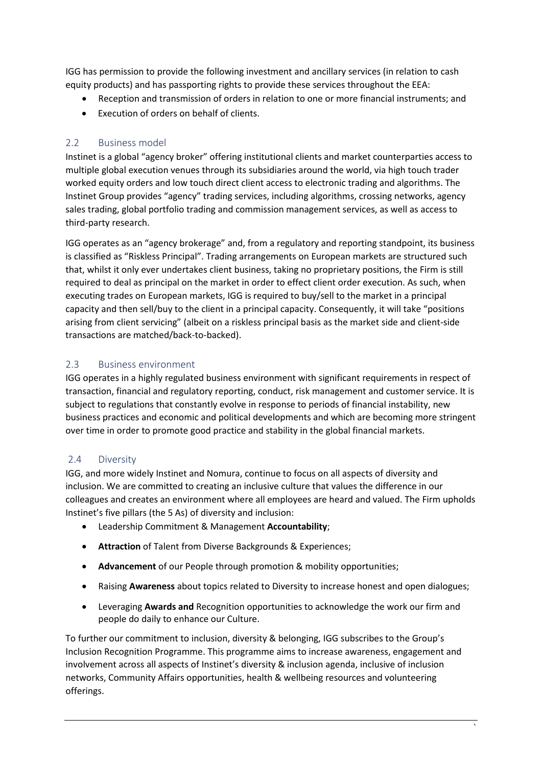IGG has permission to provide the following investment and ancillary services (in relation to cash equity products) and has passporting rights to provide these services throughout the EEA:

- Reception and transmission of orders in relation to one or more financial instruments; and
- Execution of orders on behalf of clients.

#### <span id="page-4-0"></span>2.2 Business model

Instinet is a global "agency broker" offering institutional clients and market counterparties access to multiple global execution venues through its subsidiaries around the world, via high touch trader worked equity orders and low touch direct client access to electronic trading and algorithms. The Instinet Group provides "agency" trading services, including algorithms, crossing networks, agency sales trading, global portfolio trading and commission management services, as well as access to third-party research.

IGG operates as an "agency brokerage" and, from a regulatory and reporting standpoint, its business is classified as "Riskless Principal". Trading arrangements on European markets are structured such that, whilst it only ever undertakes client business, taking no proprietary positions, the Firm is still required to deal as principal on the market in order to effect client order execution. As such, when executing trades on European markets, IGG is required to buy/sell to the market in a principal capacity and then sell/buy to the client in a principal capacity. Consequently, it will take "positions arising from client servicing" (albeit on a riskless principal basis as the market side and client-side transactions are matched/back-to-backed).

#### <span id="page-4-1"></span>2.3 Business environment

IGG operates in a highly regulated business environment with significant requirements in respect of transaction, financial and regulatory reporting, conduct, risk management and customer service. It is subject to regulations that constantly evolve in response to periods of financial instability, new business practices and economic and political developments and which are becoming more stringent over time in order to promote good practice and stability in the global financial markets.

#### <span id="page-4-2"></span>2.4 Diversity

IGG, and more widely Instinet and Nomura, continue to focus on all aspects of diversity and inclusion. We are committed to creating an inclusive culture that values the difference in our colleagues and creates an environment where all employees are heard and valued. The Firm upholds Instinet's five pillars (the 5 As) of diversity and inclusion:

- Leadership Commitment & Management **Accountability**;
- **Attraction** of Talent from Diverse Backgrounds & Experiences;
- **Advancement** of our People through promotion & mobility opportunities;
- Raising **Awareness** about topics related to Diversity to increase honest and open dialogues;
- Leveraging **Awards and** Recognition opportunities to acknowledge the work our firm and people do daily to enhance our Culture.

To further our commitment to inclusion, diversity & belonging, IGG subscribes to the Group's Inclusion Recognition Programme. This programme aims to increase awareness, engagement and involvement across all aspects of Instinet's diversity & inclusion agenda, inclusive of inclusion networks, Community Affairs opportunities, health & wellbeing resources and volunteering offerings.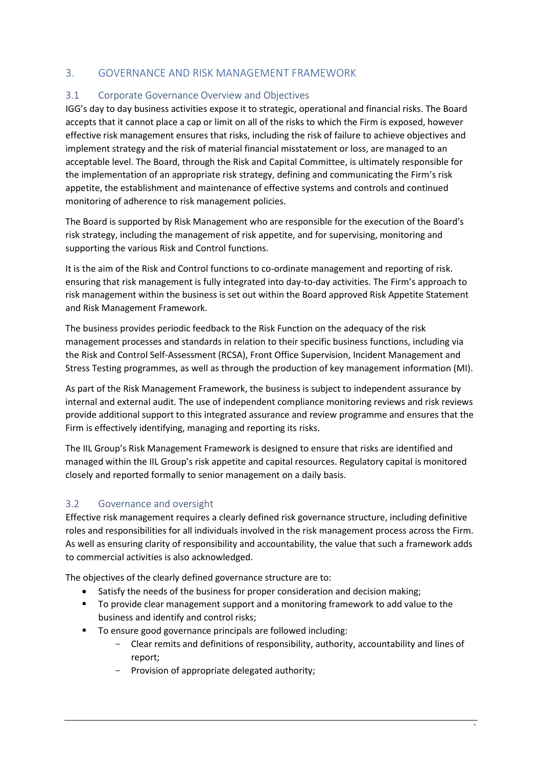## <span id="page-5-0"></span>3. GOVERNANCE AND RISK MANAGEMENT FRAMEWORK

#### <span id="page-5-1"></span>3.1 Corporate Governance Overview and Objectives

IGG's day to day business activities expose it to strategic, operational and financial risks. The Board accepts that it cannot place a cap or limit on all of the risks to which the Firm is exposed, however effective risk management ensures that risks, including the risk of failure to achieve objectives and implement strategy and the risk of material financial misstatement or loss, are managed to an acceptable level. The Board, through the Risk and Capital Committee, is ultimately responsible for the implementation of an appropriate risk strategy, defining and communicating the Firm's risk appetite, the establishment and maintenance of effective systems and controls and continued monitoring of adherence to risk management policies.

The Board is supported by Risk Management who are responsible for the execution of the Board's risk strategy, including the management of risk appetite, and for supervising, monitoring and supporting the various Risk and Control functions.

It is the aim of the Risk and Control functions to co-ordinate management and reporting of risk. ensuring that risk management is fully integrated into day-to-day activities. The Firm's approach to risk management within the business is set out within the Board approved Risk Appetite Statement and Risk Management Framework.

The business provides periodic feedback to the Risk Function on the adequacy of the risk management processes and standards in relation to their specific business functions, including via the Risk and Control Self-Assessment (RCSA), Front Office Supervision, Incident Management and Stress Testing programmes, as well as through the production of key management information (MI).

As part of the Risk Management Framework, the business is subject to independent assurance by internal and external audit. The use of independent compliance monitoring reviews and risk reviews provide additional support to this integrated assurance and review programme and ensures that the Firm is effectively identifying, managing and reporting its risks.

The IIL Group's Risk Management Framework is designed to ensure that risks are identified and managed within the IIL Group's risk appetite and capital resources. Regulatory capital is monitored closely and reported formally to senior management on a daily basis.

#### <span id="page-5-2"></span>3.2 Governance and oversight

Effective risk management requires a clearly defined risk governance structure, including definitive roles and responsibilities for all individuals involved in the risk management process across the Firm. As well as ensuring clarity of responsibility and accountability, the value that such a framework adds to commercial activities is also acknowledged.

The objectives of the clearly defined governance structure are to:

- Satisfy the needs of the business for proper consideration and decision making;
- To provide clear management support and a monitoring framework to add value to the business and identify and control risks;
- To ensure good governance principals are followed including:
	- Clear remits and definitions of responsibility, authority, accountability and lines of report;
	- Provision of appropriate delegated authority;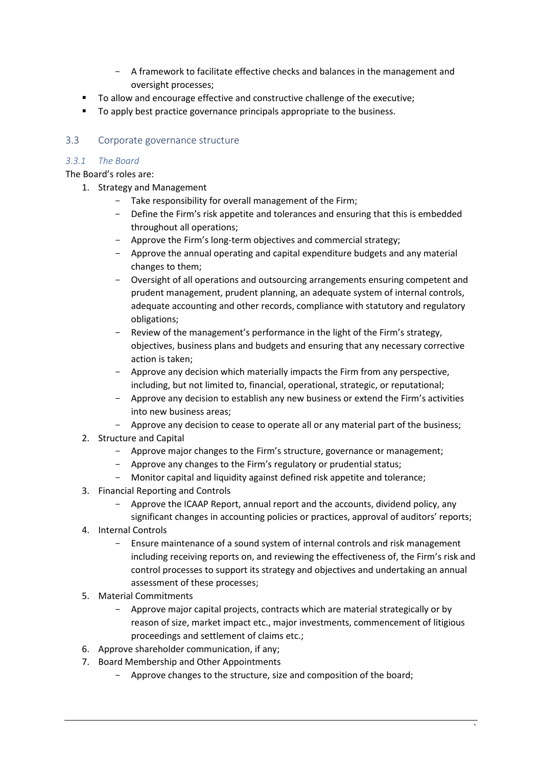- A framework to facilitate effective checks and balances in the management and oversight processes;
- To allow and encourage effective and constructive challenge of the executive;
- To apply best practice governance principals appropriate to the business.

#### <span id="page-6-0"></span>3.3 Corporate governance structure

#### *3.3.1 The Board*

The Board's roles are:

- 1. Strategy and Management
	- Take responsibility for overall management of the Firm;
	- Define the Firm's risk appetite and tolerances and ensuring that this is embedded throughout all operations;
	- Approve the Firm's long-term objectives and commercial strategy;
	- Approve the annual operating and capital expenditure budgets and any material changes to them;
	- Oversight of all operations and outsourcing arrangements ensuring competent and prudent management, prudent planning, an adequate system of internal controls, adequate accounting and other records, compliance with statutory and regulatory obligations;
	- Review of the management's performance in the light of the Firm's strategy, objectives, business plans and budgets and ensuring that any necessary corrective action is taken;
	- Approve any decision which materially impacts the Firm from any perspective, including, but not limited to, financial, operational, strategic, or reputational;
	- Approve any decision to establish any new business or extend the Firm's activities into new business areas;
	- Approve any decision to cease to operate all or any material part of the business;
- 2. Structure and Capital
	- Approve major changes to the Firm's structure, governance or management;
	- Approve any changes to the Firm's regulatory or prudential status:
	- Monitor capital and liquidity against defined risk appetite and tolerance;
- 3. Financial Reporting and Controls
	- Approve the ICAAP Report, annual report and the accounts, dividend policy, any significant changes in accounting policies or practices, approval of auditors' reports;
- 4. Internal Controls
	- Ensure maintenance of a sound system of internal controls and risk management including receiving reports on, and reviewing the effectiveness of, the Firm's risk and control processes to support its strategy and objectives and undertaking an annual assessment of these processes;
- 5. Material Commitments
	- Approve major capital projects, contracts which are material strategically or by reason of size, market impact etc., major investments, commencement of litigious proceedings and settlement of claims etc.;
- 6. Approve shareholder communication, if any;
- 7. Board Membership and Other Appointments
	- Approve changes to the structure, size and composition of the board;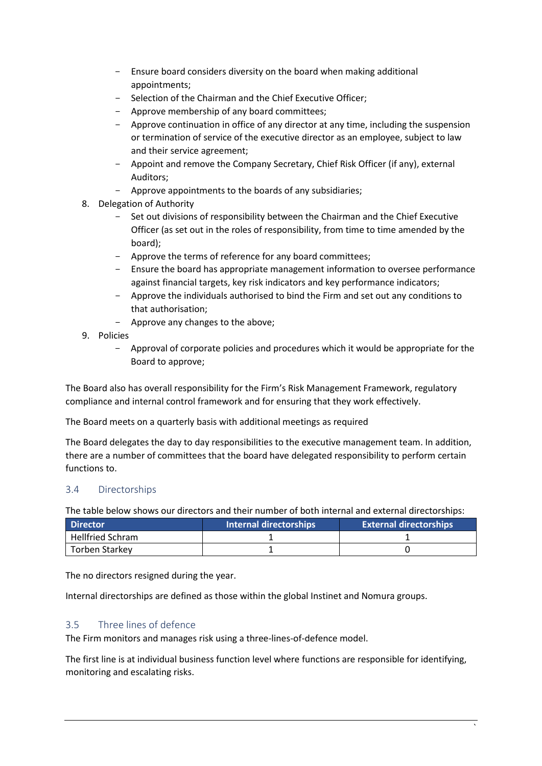- Ensure board considers diversity on the board when making additional appointments;
- Selection of the Chairman and the Chief Executive Officer;
- Approve membership of any board committees;
- Approve continuation in office of any director at any time, including the suspension or termination of service of the executive director as an employee, subject to law and their service agreement;
- Appoint and remove the Company Secretary, Chief Risk Officer (if any), external Auditors;
- Approve appointments to the boards of any subsidiaries;
- 8. Delegation of Authority
	- Set out divisions of responsibility between the Chairman and the Chief Executive Officer (as set out in the roles of responsibility, from time to time amended by the board);
	- Approve the terms of reference for any board committees;
	- Ensure the board has appropriate management information to oversee performance against financial targets, key risk indicators and key performance indicators;
	- Approve the individuals authorised to bind the Firm and set out any conditions to that authorisation;
	- Approve any changes to the above;
- 9. Policies
	- Approval of corporate policies and procedures which it would be appropriate for the Board to approve;

The Board also has overall responsibility for the Firm's Risk Management Framework, regulatory compliance and internal control framework and for ensuring that they work effectively.

The Board meets on a quarterly basis with additional meetings as required

The Board delegates the day to day responsibilities to the executive management team. In addition, there are a number of committees that the board have delegated responsibility to perform certain functions to.

#### <span id="page-7-0"></span>3.4 Directorships

The table below shows our directors and their number of both internal and external directorships:

| <b>Director</b>         | Internal directorships | <b>External directorships</b> |
|-------------------------|------------------------|-------------------------------|
| <b>Hellfried Schram</b> |                        |                               |
| Torben Starkey          |                        |                               |

The no directors resigned during the year.

Internal directorships are defined as those within the global Instinet and Nomura groups.

#### <span id="page-7-1"></span>3.5 Three lines of defence

The Firm monitors and manages risk using a three-lines-of-defence model.

The first line is at individual business function level where functions are responsible for identifying, monitoring and escalating risks.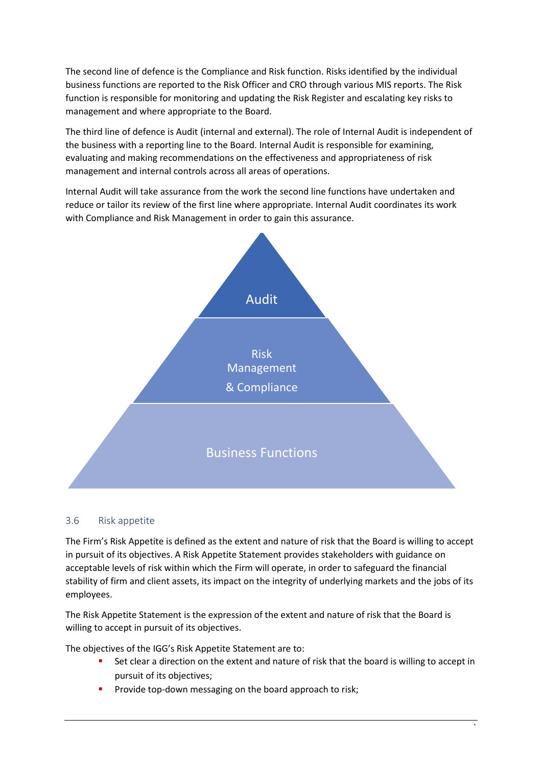The second line of defence is the Compliance and Risk function. Risks identified by the individual business functions are reported to the Risk Officer and CRO through various MIS reports. The Risk function is responsible for monitoring and updating the Risk Register and escalating key risks to management and where appropriate to the Board.

The third line of defence is Audit (internal and external). The role of Internal Audit is independent of the business with a reporting line to the Board. Internal Audit is responsible for examining, evaluating and making recommendations on the effectiveness and appropriateness of risk management and internal controls across all areas of operations.

Internal Audit will take assurance from the work the second line functions have undertaken and reduce or tailor its review of the first line where appropriate. Internal Audit coordinates its work with Compliance and Risk Management in order to gain this assurance.



#### <span id="page-8-0"></span>3.6 Risk appetite

The Firm's Risk Appetite is defined as the extent and nature of risk that the Board is willing to accept in pursuit of its objectives. A Risk Appetite Statement provides stakeholders with guidance on acceptable levels of risk within which the Firm will operate, in order to safeguard the financial stability of firm and client assets, its impact on the integrity of underlying markets and the jobs of its employees.

The Risk Appetite Statement is the expression of the extent and nature of risk that the Board is willing to accept in pursuit of its objectives.

The objectives of the IGG's Risk Appetite Statement are to:

- Set clear a direction on the extent and nature of risk that the board is willing to accept in pursuit of its objectives;
- Provide top-down messaging on the board approach to risk;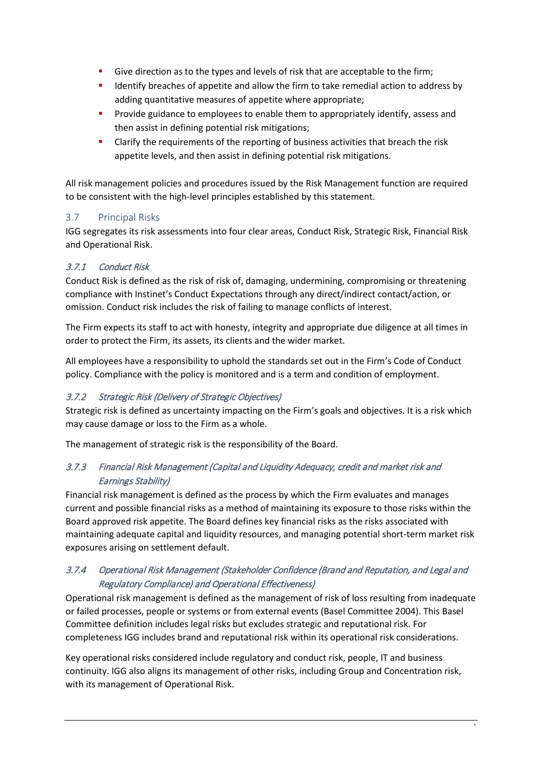- Give direction as to the types and levels of risk that are acceptable to the firm;
- Identify breaches of appetite and allow the firm to take remedial action to address by adding quantitative measures of appetite where appropriate;
- Provide guidance to employees to enable them to appropriately identify, assess and then assist in defining potential risk mitigations;
- Clarify the requirements of the reporting of business activities that breach the risk appetite levels, and then assist in defining potential risk mitigations.

All risk management policies and procedures issued by the Risk Management function are required to be consistent with the high-level principles established by this statement.

## <span id="page-9-0"></span>3.7 Principal Risks

IGG segregates its risk assessments into four clear areas, Conduct Risk, Strategic Risk, Financial Risk and Operational Risk.

#### 3.7.1 Conduct Risk

Conduct Risk is defined as the risk of risk of, damaging, undermining, compromising or threatening compliance with Instinet's Conduct Expectations through any direct/indirect contact/action, or omission. Conduct risk includes the risk of failing to manage conflicts of interest.

The Firm expects its staff to act with honesty, integrity and appropriate due diligence at all times in order to protect the Firm, its assets, its clients and the wider market.

All employees have a responsibility to uphold the standards set out in the Firm's Code of Conduct policy. Compliance with the policy is monitored and is a term and condition of employment.

#### 3.7.2 Strategic Risk (Delivery of Strategic Objectives)

Strategic risk is defined as uncertainty impacting on the Firm's goals and objectives. It is a risk which may cause damage or loss to the Firm as a whole.

The management of strategic risk is the responsibility of the Board.

## 3.7.3 Financial Risk Management (Capital and Liquidity Adequacy, credit and market risk and Earnings Stability)

Financial risk management is defined as the process by which the Firm evaluates and manages current and possible financial risks as a method of maintaining its exposure to those risks within the Board approved risk appetite. The Board defines key financial risks as the risks associated with maintaining adequate capital and liquidity resources, and managing potential short-term market risk exposures arising on settlement default.

## 3.7.4 Operational Risk Management (Stakeholder Confidence (Brand and Reputation, and Legal and Regulatory Compliance) and Operational Effectiveness)

Operational risk management is defined as the management of risk of loss resulting from inadequate or failed processes, people or systems or from external events (Basel Committee 2004). This Basel Committee definition includes legal risks but excludes strategic and reputational risk. For completeness IGG includes brand and reputational risk within its operational risk considerations.

Key operational risks considered include regulatory and conduct risk, people, IT and business continuity. IGG also aligns its management of other risks, including Group and Concentration risk, with its management of Operational Risk.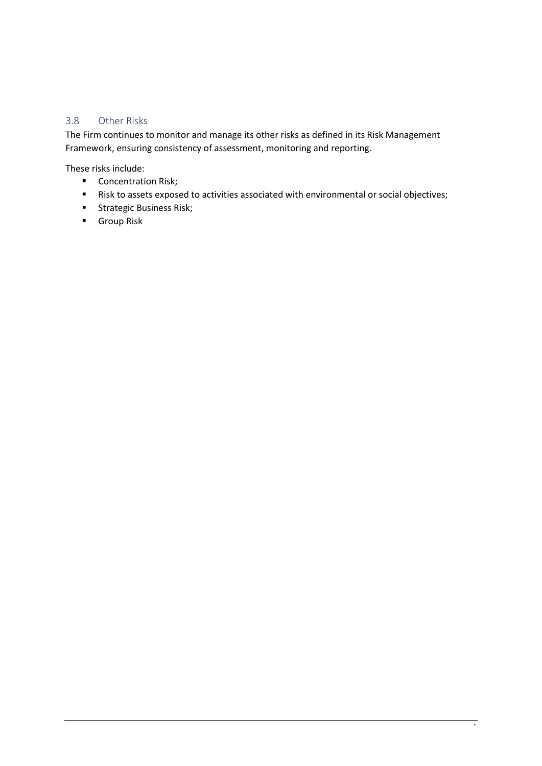#### <span id="page-10-0"></span>3.8 Other Risks

The Firm continues to monitor and manage its other risks as defined in its Risk Management Framework, ensuring consistency of assessment, monitoring and reporting.

These risks include:

- **Concentration Risk;**
- Risk to assets exposed to activities associated with environmental or social objectives;
- **Strategic Business Risk;**
- **Group Risk**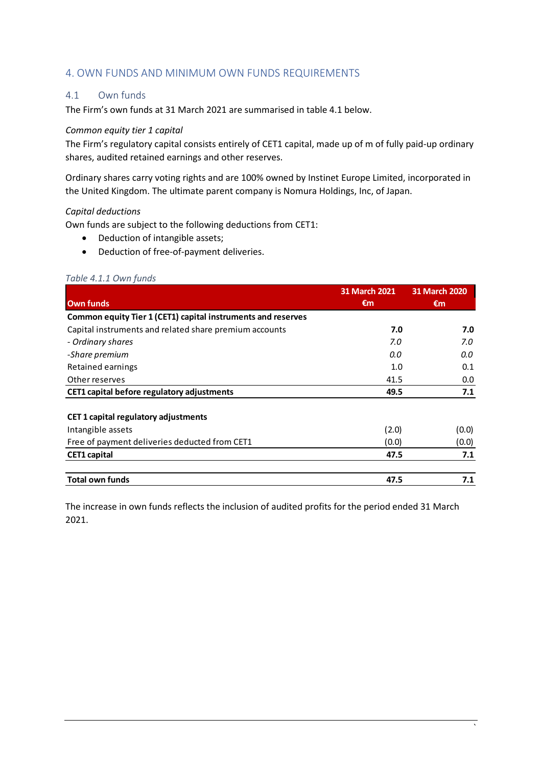#### <span id="page-11-0"></span>4. OWN FUNDS AND MINIMUM OWN FUNDS REQUIREMENTS

#### <span id="page-11-1"></span>4.1 Own funds

The Firm's own funds at 31 March 2021 are summarised in table 4.1 below.

#### *Common equity tier 1 capital*

The Firm's regulatory capital consists entirely of CET1 capital, made up of m of fully paid-up ordinary shares, audited retained earnings and other reserves.

Ordinary shares carry voting rights and are 100% owned by Instinet Europe Limited, incorporated in the United Kingdom. The ultimate parent company is Nomura Holdings, Inc, of Japan.

#### *Capital deductions*

Own funds are subject to the following deductions from CET1:

- Deduction of intangible assets;
- Deduction of free-of-payment deliveries.

#### *Table 4.1.1 Own funds*

|                                                              | <b>31 March 2021</b> | <b>31 March 2020</b> |
|--------------------------------------------------------------|----------------------|----------------------|
| <b>Own funds</b>                                             | €m                   | €m                   |
| Common equity Tier 1 (CET1) capital instruments and reserves |                      |                      |
| Capital instruments and related share premium accounts       | 7.0                  | 7.0                  |
| - Ordinary shares                                            | 7.0                  | 7.0                  |
| -Share premium                                               | 0.0                  | 0.0                  |
| Retained earnings                                            | 1.0                  | 0.1                  |
| Other reserves                                               | 41.5                 | 0.0                  |
| CET1 capital before regulatory adjustments                   | 49.5                 | 7.1                  |
|                                                              |                      |                      |
| <b>CET 1 capital regulatory adjustments</b>                  |                      |                      |
| Intangible assets                                            | (2.0)                | (0.0)                |
| Free of payment deliveries deducted from CET1                | (0.0)                | (0.0)                |
| <b>CET1 capital</b>                                          | 47.5                 | 7.1                  |
| <b>Total own funds</b>                                       | 47.5                 | 7.1                  |

The increase in own funds reflects the inclusion of audited profits for the period ended 31 March 2021.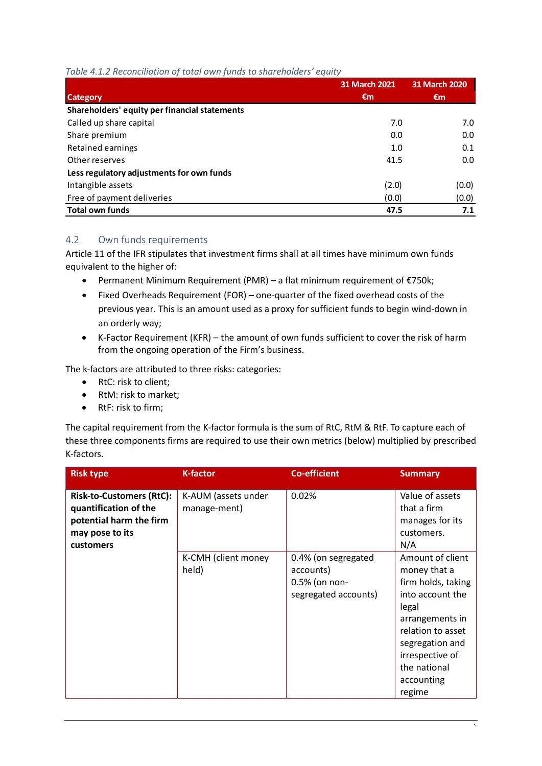#### *Table 4.1.2 Reconciliation of total own funds to shareholders' equity*

|                                               | <b>31 March 2021</b> | <b>31 March 2020</b> |
|-----------------------------------------------|----------------------|----------------------|
| <b>Category</b>                               | €m                   | €m                   |
| Shareholders' equity per financial statements |                      |                      |
| Called up share capital                       | 7.0                  | 7.0                  |
| Share premium                                 | 0.0                  | 0.0                  |
| Retained earnings                             | 1.0                  | 0.1                  |
| Other reserves                                | 41.5                 | 0.0                  |
| Less regulatory adjustments for own funds     |                      |                      |
| Intangible assets                             | (2.0)                | (0.0)                |
| Free of payment deliveries                    | (0.0)                | (0.0)                |
| <b>Total own funds</b>                        | 47.5                 | 7.1                  |

#### <span id="page-12-0"></span>4.2 Own funds requirements

Article 11 of the IFR stipulates that investment firms shall at all times have minimum own funds equivalent to the higher of:

- Permanent Minimum Requirement (PMR) a flat minimum requirement of €750k;
- Fixed Overheads Requirement (FOR) one-quarter of the fixed overhead costs of the previous year. This is an amount used as a proxy for sufficient funds to begin wind-down in an orderly way;
- K-Factor Requirement (KFR) the amount of own funds sufficient to cover the risk of harm from the ongoing operation of the Firm's business.

The k-factors are attributed to three risks: categories:

- RtC: risk to client;
- RtM: risk to market;
- RtF: risk to firm;

The capital requirement from the K-factor formula is the sum of RtC, RtM & RtF. To capture each of these three components firms are required to use their own metrics (below) multiplied by prescribed K-factors.

| <b>Risk type</b>                                                                                                    | <b>K-factor</b>                     | <b>Co-efficient</b>                                                       | <b>Summary</b>                                                                                                                                                                                            |
|---------------------------------------------------------------------------------------------------------------------|-------------------------------------|---------------------------------------------------------------------------|-----------------------------------------------------------------------------------------------------------------------------------------------------------------------------------------------------------|
| <b>Risk-to-Customers (RtC):</b><br>quantification of the<br>potential harm the firm<br>may pose to its<br>customers | K-AUM (assets under<br>manage-ment) | 0.02%                                                                     | Value of assets<br>that a firm<br>manages for its<br>customers.<br>N/A                                                                                                                                    |
|                                                                                                                     | K-CMH (client money<br>held)        | 0.4% (on segregated<br>accounts)<br>0.5% (on non-<br>segregated accounts) | Amount of client<br>money that a<br>firm holds, taking<br>into account the<br>legal<br>arrangements in<br>relation to asset<br>segregation and<br>irrespective of<br>the national<br>accounting<br>regime |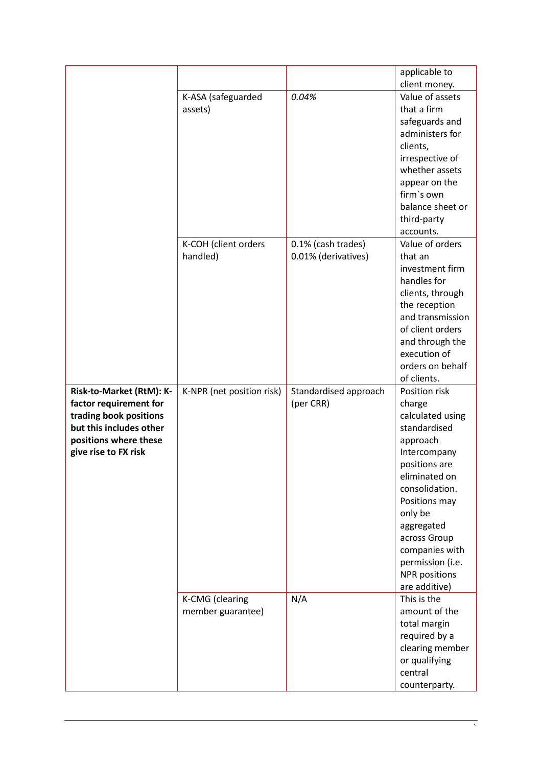|                          |                           |                       | applicable to            |
|--------------------------|---------------------------|-----------------------|--------------------------|
|                          |                           |                       | client money.            |
|                          | K-ASA (safeguarded        | 0.04%                 | Value of assets          |
|                          | assets)                   |                       | that a firm              |
|                          |                           |                       | safeguards and           |
|                          |                           |                       | administers for          |
|                          |                           |                       | clients,                 |
|                          |                           |                       | irrespective of          |
|                          |                           |                       | whether assets           |
|                          |                           |                       | appear on the            |
|                          |                           |                       | firm's own               |
|                          |                           |                       | balance sheet or         |
|                          |                           |                       |                          |
|                          |                           |                       | third-party<br>accounts. |
|                          |                           |                       | Value of orders          |
|                          | K-COH (client orders      | 0.1% (cash trades)    |                          |
|                          | handled)                  | 0.01% (derivatives)   | that an                  |
|                          |                           |                       | investment firm          |
|                          |                           |                       | handles for              |
|                          |                           |                       | clients, through         |
|                          |                           |                       | the reception            |
|                          |                           |                       | and transmission         |
|                          |                           |                       | of client orders         |
|                          |                           |                       | and through the          |
|                          |                           |                       | execution of             |
|                          |                           |                       | orders on behalf         |
|                          |                           |                       | of clients.              |
| Risk-to-Market (RtM): K- | K-NPR (net position risk) | Standardised approach | Position risk            |
| factor requirement for   |                           | (per CRR)             | charge                   |
| trading book positions   |                           |                       | calculated using         |
| but this includes other  |                           |                       | standardised             |
| positions where these    |                           |                       |                          |
| give rise to FX risk     |                           |                       | approach                 |
|                          |                           |                       | Intercompany             |
|                          |                           |                       | positions are            |
|                          |                           |                       | eliminated on            |
|                          |                           |                       | consolidation.           |
|                          |                           |                       | Positions may            |
|                          |                           |                       | only be                  |
|                          |                           |                       | aggregated               |
|                          |                           |                       | across Group             |
|                          |                           |                       | companies with           |
|                          |                           |                       | permission (i.e.         |
|                          |                           |                       | <b>NPR</b> positions     |
|                          |                           |                       | are additive)            |
|                          | K-CMG (clearing           | N/A                   | This is the              |
|                          | member guarantee)         |                       | amount of the            |
|                          |                           |                       | total margin             |
|                          |                           |                       | required by a            |
|                          |                           |                       | clearing member          |
|                          |                           |                       | or qualifying            |
|                          |                           |                       | central                  |

 $\overline{\phantom{a}}$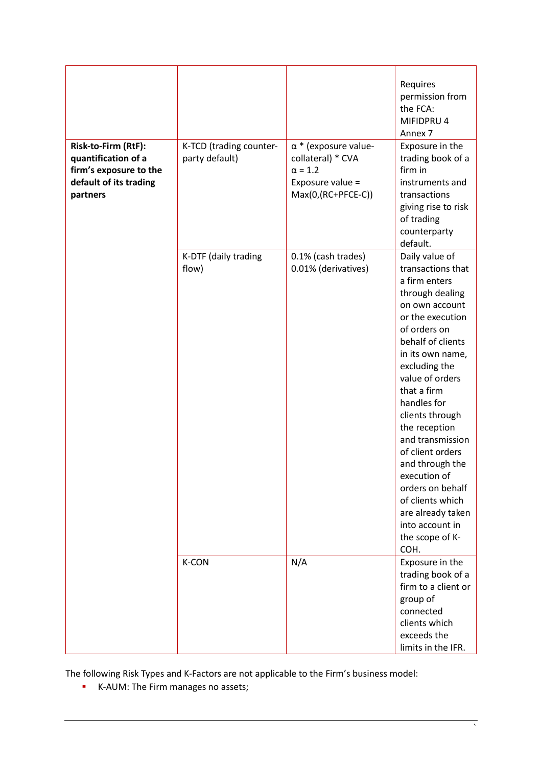| Risk-to-Firm (RtF):<br>quantification of a<br>firm's exposure to the<br>default of its trading<br>partners | K-TCD (trading counter-<br>party default) | $\alpha$ * (exposure value-<br>collateral) * CVA<br>$\alpha$ = 1.2<br>Exposure value =<br>$Max(0,(RC+PFCE-C))$ | Requires<br>permission from<br>the FCA:<br>MIFIDPRU 4<br>Annex <sub>7</sub><br>Exposure in the<br>trading book of a<br>firm in<br>instruments and<br>transactions<br>giving rise to risk<br>of trading<br>counterparty<br>default.                                                                                                                                                                                                                                 |
|------------------------------------------------------------------------------------------------------------|-------------------------------------------|----------------------------------------------------------------------------------------------------------------|--------------------------------------------------------------------------------------------------------------------------------------------------------------------------------------------------------------------------------------------------------------------------------------------------------------------------------------------------------------------------------------------------------------------------------------------------------------------|
|                                                                                                            | K-DTF (daily trading<br>flow)             | 0.1% (cash trades)<br>0.01% (derivatives)                                                                      | Daily value of<br>transactions that<br>a firm enters<br>through dealing<br>on own account<br>or the execution<br>of orders on<br>behalf of clients<br>in its own name,<br>excluding the<br>value of orders<br>that a firm<br>handles for<br>clients through<br>the reception<br>and transmission<br>of client orders<br>and through the<br>execution of<br>orders on behalf<br>of clients which<br>are already taken<br>into account in<br>the scope of K-<br>COH. |
|                                                                                                            | K-CON                                     | N/A                                                                                                            | Exposure in the<br>trading book of a<br>firm to a client or<br>group of<br>connected<br>clients which<br>exceeds the<br>limits in the IFR.                                                                                                                                                                                                                                                                                                                         |

The following Risk Types and K-Factors are not applicable to the Firm's business model:

**K-AUM: The Firm manages no assets;**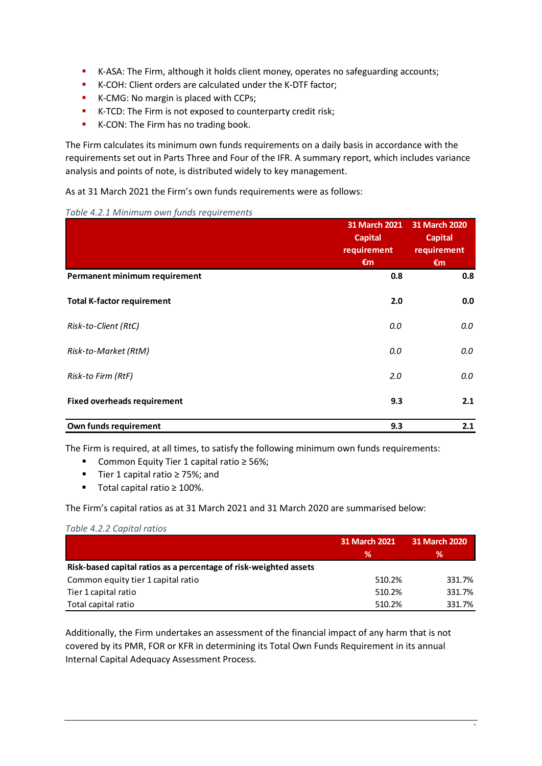- K-ASA: The Firm, although it holds client money, operates no safeguarding accounts;
- K-COH: Client orders are calculated under the K-DTF factor;
- K-CMG: No margin is placed with CCPs;
- **K-TCD:** The Firm is not exposed to counterparty credit risk;
- K-CON: The Firm has no trading book.

The Firm calculates its minimum own funds requirements on a daily basis in accordance with the requirements set out in Parts Three and Four of the IFR. A summary report, which includes variance analysis and points of note, is distributed widely to key management.

As at 31 March 2021 the Firm's own funds requirements were as follows:

|  |  | Table 4.2.1 Minimum own funds requirements |
|--|--|--------------------------------------------|
|  |  |                                            |

|                                    | 31 March 2021<br><b>Capital</b><br>requirement | 31 March 2020<br><b>Capital</b><br>requirement |
|------------------------------------|------------------------------------------------|------------------------------------------------|
|                                    | €m                                             | $\epsilon$ m                                   |
| Permanent minimum requirement      | 0.8                                            | 0.8                                            |
| <b>Total K-factor requirement</b>  | 2.0                                            | 0.0                                            |
| Risk-to-Client (RtC)               | 0.0                                            | 0.0                                            |
| Risk-to-Market (RtM)               | 0.0                                            | 0.0                                            |
| Risk-to Firm (RtF)                 | 2.0                                            | 0.0                                            |
| <b>Fixed overheads requirement</b> | 9.3                                            | 2.1                                            |
| Own funds requirement              | 9.3                                            | 2.1                                            |

The Firm is required, at all times, to satisfy the following minimum own funds requirements:

- Common Equity Tier 1 capital ratio ≥ 56%;
- Tier 1 capital ratio ≥ 75%; and
- Total capital ratio ≥ 100%.

The Firm's capital ratios as at 31 March 2021 and 31 March 2020 are summarised below:

#### *Table 4.2.2 Capital ratios*

|                                                                   | 31 March 2021 | 31 March 2020 |  |
|-------------------------------------------------------------------|---------------|---------------|--|
|                                                                   | ℅             | ℅             |  |
| Risk-based capital ratios as a percentage of risk-weighted assets |               |               |  |
| Common equity tier 1 capital ratio                                | 510.2%        | 331.7%        |  |
| Tier 1 capital ratio                                              | 510.2%        | 331.7%        |  |
| Total capital ratio                                               | 510.2%        | 331.7%        |  |

Additionally, the Firm undertakes an assessment of the financial impact of any harm that is not covered by its PMR, FOR or KFR in determining its Total Own Funds Requirement in its annual Internal Capital Adequacy Assessment Process.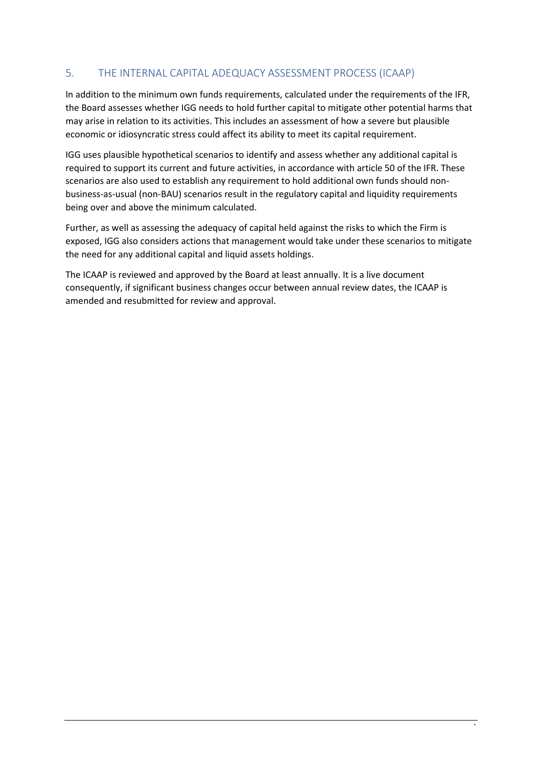## <span id="page-16-0"></span>5. THE INTERNAL CAPITAL ADEQUACY ASSESSMENT PROCESS (ICAAP)

In addition to the minimum own funds requirements, calculated under the requirements of the IFR, the Board assesses whether IGG needs to hold further capital to mitigate other potential harms that may arise in relation to its activities. This includes an assessment of how a severe but plausible economic or idiosyncratic stress could affect its ability to meet its capital requirement.

IGG uses plausible hypothetical scenarios to identify and assess whether any additional capital is required to support its current and future activities, in accordance with article 50 of the IFR. These scenarios are also used to establish any requirement to hold additional own funds should nonbusiness-as-usual (non-BAU) scenarios result in the regulatory capital and liquidity requirements being over and above the minimum calculated.

Further, as well as assessing the adequacy of capital held against the risks to which the Firm is exposed, IGG also considers actions that management would take under these scenarios to mitigate the need for any additional capital and liquid assets holdings.

The ICAAP is reviewed and approved by the Board at least annually. It is a live document consequently, if significant business changes occur between annual review dates, the ICAAP is amended and resubmitted for review and approval.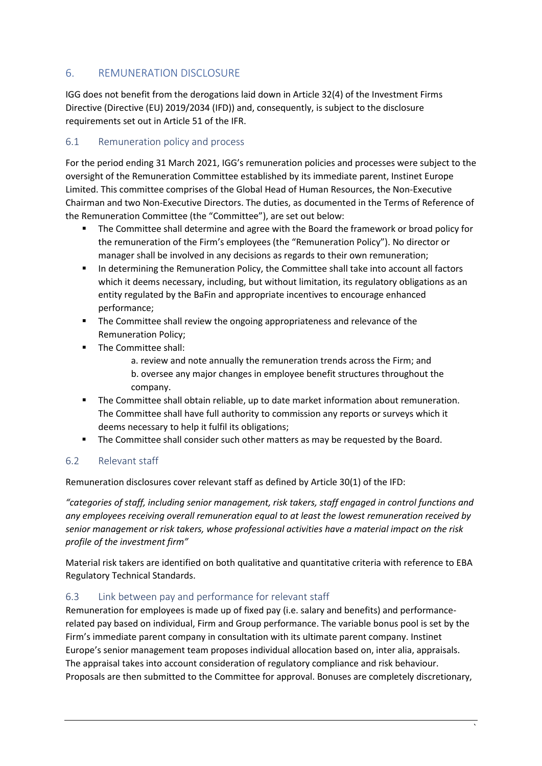## <span id="page-17-0"></span>6. REMUNERATION DISCLOSURE

IGG does not benefit from the derogations laid down in Article 32(4) of the Investment Firms Directive (Directive (EU) 2019/2034 (IFD)) and, consequently, is subject to the disclosure requirements set out in Article 51 of the IFR.

#### <span id="page-17-1"></span>6.1 Remuneration policy and process

For the period ending 31 March 2021, IGG's remuneration policies and processes were subject to the oversight of the Remuneration Committee established by its immediate parent, Instinet Europe Limited. This committee comprises of the Global Head of Human Resources, the Non-Executive Chairman and two Non-Executive Directors. The duties, as documented in the Terms of Reference of the Remuneration Committee (the "Committee"), are set out below:

- **The Committee shall determine and agree with the Board the framework or broad policy for** the remuneration of the Firm's employees (the "Remuneration Policy"). No director or manager shall be involved in any decisions as regards to their own remuneration;
- **In determining the Remuneration Policy, the Committee shall take into account all factors** which it deems necessary, including, but without limitation, its regulatory obligations as an entity regulated by the BaFin and appropriate incentives to encourage enhanced performance;
- **The Committee shall review the ongoing appropriateness and relevance of the** Remuneration Policy;
- **The Committee shall:** 
	- a. review and note annually the remuneration trends across the Firm; and b. oversee any major changes in employee benefit structures throughout the company.
- The Committee shall obtain reliable, up to date market information about remuneration. The Committee shall have full authority to commission any reports or surveys which it deems necessary to help it fulfil its obligations;
- **The Committee shall consider such other matters as may be requested by the Board.**

#### <span id="page-17-2"></span>6.2 Relevant staff

Remuneration disclosures cover relevant staff as defined by Article 30(1) of the IFD:

*"categories of staff, including senior management, risk takers, staff engaged in control functions and any employees receiving overall remuneration equal to at least the lowest remuneration received by senior management or risk takers, whose professional activities have a material impact on the risk profile of the investment firm"*

Material risk takers are identified on both qualitative and quantitative criteria with reference to EBA Regulatory Technical Standards.

#### <span id="page-17-3"></span>6.3 Link between pay and performance for relevant staff

Remuneration for employees is made up of fixed pay (i.e. salary and benefits) and performancerelated pay based on individual, Firm and Group performance. The variable bonus pool is set by the Firm's immediate parent company in consultation with its ultimate parent company. Instinet Europe's senior management team proposes individual allocation based on, inter alia, appraisals. The appraisal takes into account consideration of regulatory compliance and risk behaviour. Proposals are then submitted to the Committee for approval. Bonuses are completely discretionary,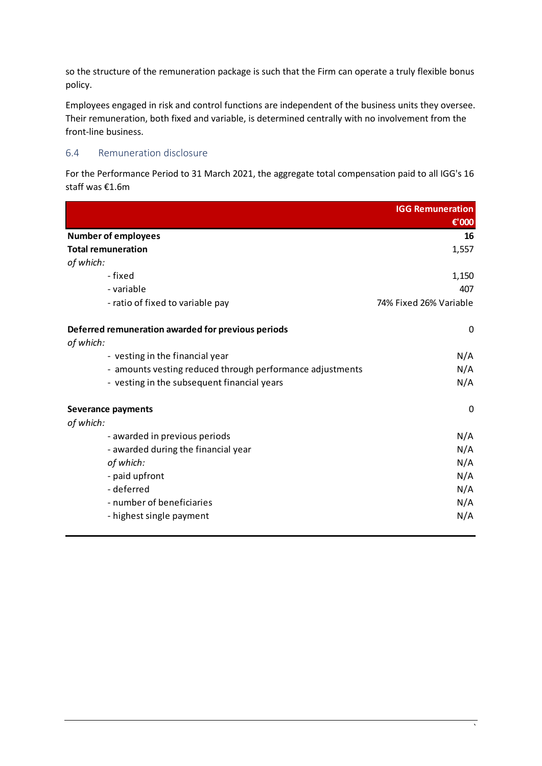so the structure of the remuneration package is such that the Firm can operate a truly flexible bonus policy.

Employees engaged in risk and control functions are independent of the business units they oversee. Their remuneration, both fixed and variable, is determined centrally with no involvement from the front-line business.

#### <span id="page-18-0"></span>6.4 Remuneration disclosure

<span id="page-18-1"></span>For the Performance Period to 31 March 2021, the aggregate total compensation paid to all IGG's 16 staff was €1.6m

|                                                           | <b>IGG Remuneration</b> |
|-----------------------------------------------------------|-------------------------|
|                                                           | €'000                   |
| <b>Number of employees</b>                                | 16                      |
| <b>Total remuneration</b>                                 | 1,557                   |
| of which:                                                 |                         |
| - fixed                                                   | 1,150                   |
| - variable                                                | 407                     |
| - ratio of fixed to variable pay                          | 74% Fixed 26% Variable  |
| Deferred remuneration awarded for previous periods        | 0                       |
| of which:                                                 |                         |
| - vesting in the financial year                           | N/A                     |
| - amounts vesting reduced through performance adjustments | N/A                     |
| - vesting in the subsequent financial years               | N/A                     |
| <b>Severance payments</b>                                 | 0                       |
| of which:                                                 |                         |
| - awarded in previous periods                             | N/A                     |
| - awarded during the financial year                       | N/A                     |
| of which:                                                 | N/A                     |
| - paid upfront                                            | N/A                     |
| - deferred                                                | N/A                     |
| - number of beneficiaries                                 | N/A                     |
| - highest single payment                                  | N/A                     |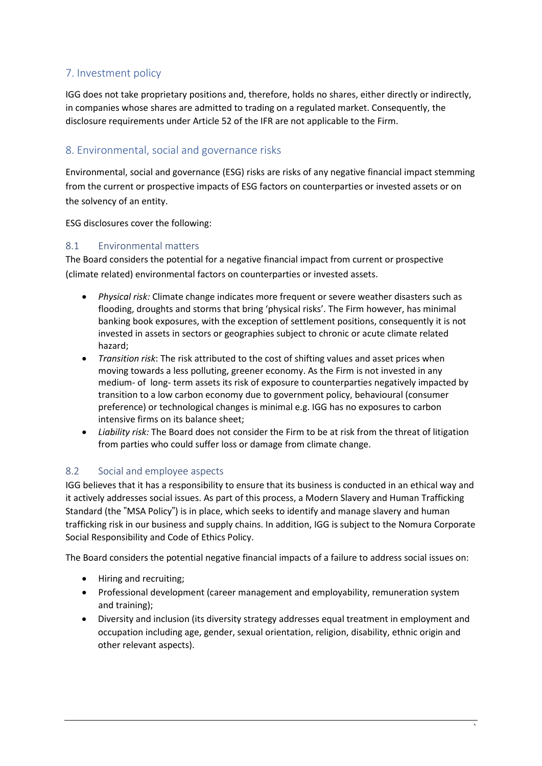## <span id="page-19-0"></span>7. Investment policy

IGG does not take proprietary positions and, therefore, holds no shares, either directly or indirectly, in companies whose shares are admitted to trading on a regulated market. Consequently, the disclosure requirements under Article 52 of the IFR are not applicable to the Firm.

## <span id="page-19-1"></span>8. Environmental, social and governance risks

Environmental, social and governance (ESG) risks are risks of any negative financial impact stemming from the current or prospective impacts of ESG factors on counterparties or invested assets or on the solvency of an entity.

ESG disclosures cover the following:

#### 8.1 Environmental matters

The Board considers the potential for a negative financial impact from current or prospective (climate related) environmental factors on counterparties or invested assets.

- *Physical risk:* Climate change indicates more frequent or severe weather disasters such as flooding, droughts and storms that bring 'physical risks'. The Firm however, has minimal banking book exposures, with the exception of settlement positions, consequently it is not invested in assets in sectors or geographies subject to chronic or acute climate related hazard;
- *Transition risk*: The risk attributed to the cost of shifting values and asset prices when moving towards a less polluting, greener economy. As the Firm is not invested in any medium- of long- term assets its risk of exposure to counterparties negatively impacted by transition to a low carbon economy due to government policy, behavioural (consumer preference) or technological changes is minimal e.g. IGG has no exposures to carbon intensive firms on its balance sheet;
- *Liability risk:* The Board does not consider the Firm to be at risk from the threat of litigation from parties who could suffer loss or damage from climate change.

#### 8.2 Social and employee aspects

IGG believes that it has a responsibility to ensure that its business is conducted in an ethical way and it actively addresses social issues. As part of this process, a Modern Slavery and Human Trafficking Standard (the "MSA Policy") is in place, which seeks to identify and manage slavery and human trafficking risk in our business and supply chains. In addition, IGG is subject to the Nomura Corporate Social Responsibility and Code of Ethics Policy.

The Board considers the potential negative financial impacts of a failure to address social issues on:

- Hiring and recruiting;
- Professional development (career management and employability, remuneration system and training);
- Diversity and inclusion (its diversity strategy addresses equal treatment in employment and occupation including age, gender, sexual orientation, religion, disability, ethnic origin and other relevant aspects).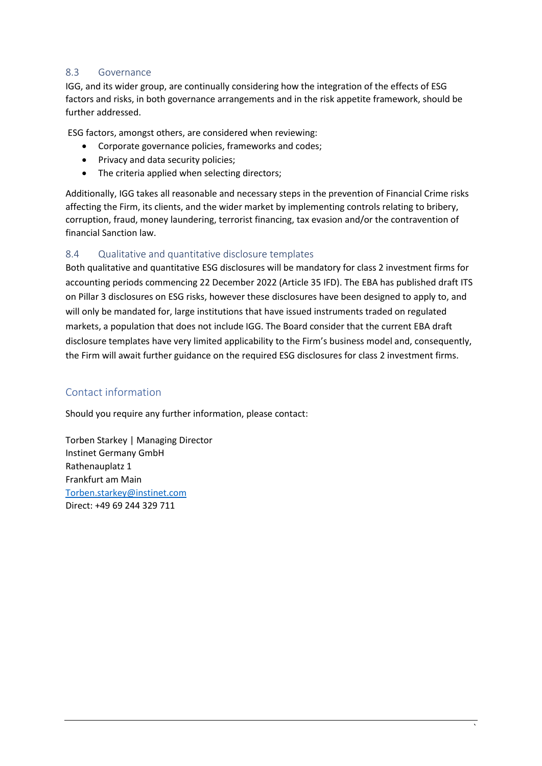#### 8.3 Governance

IGG, and its wider group, are continually considering how the integration of the effects of ESG factors and risks, in both governance arrangements and in the risk appetite framework, should be further addressed.

ESG factors, amongst others, are considered when reviewing:

- Corporate governance policies, frameworks and codes;
- Privacy and data security policies;
- The criteria applied when selecting directors;

Additionally, IGG takes all reasonable and necessary steps in the prevention of Financial Crime risks affecting the Firm, its clients, and the wider market by implementing controls relating to bribery, corruption, fraud, money laundering, terrorist financing, tax evasion and/or the contravention of financial Sanction law.

#### 8.4 Qualitative and quantitative disclosure templates

Both qualitative and quantitative ESG disclosures will be mandatory for class 2 investment firms for accounting periods commencing 22 December 2022 (Article 35 IFD). The EBA has published draft ITS on Pillar 3 disclosures on ESG risks, however these disclosures have been designed to apply to, and will only be mandated for, large institutions that have issued instruments traded on regulated markets, a population that does not include IGG. The Board consider that the current EBA draft disclosure templates have very limited applicability to the Firm's business model and, consequently, the Firm will await further guidance on the required ESG disclosures for class 2 investment firms.

## Contact information

Should you require any further information, please contact:

Torben Starkey | Managing Director Instinet Germany GmbH Rathenauplatz 1 Frankfurt am Main [Torben.starkey@instinet.com](mailto:Torben.starkey@instinet.com) Direct: +49 69 244 329 711